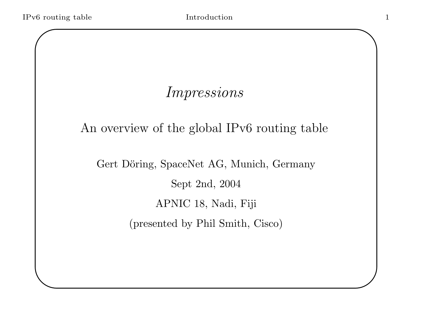$\setminus$ 

 $\bigwedge$ 

 $\bigcup$ 

## Impressions

An overview of the global IPv6 routing table

Gert Döring, SpaceNet AG, Munich, Germany Sept 2nd, 2004 APNIC 18, Nadi, Fiji (presented by Phil Smith, Cisco)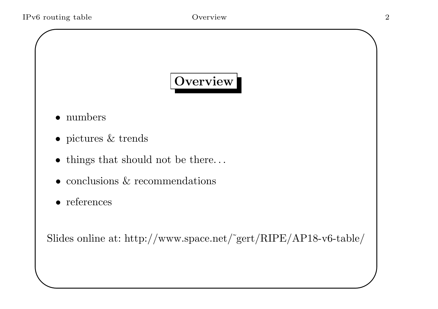$\setminus$ 

# Overview

- numbers
- pictures & trends
- things that should not be there...
- conclusions & recommendations
- references

Slides online at: http://www.space.net/˜gert/RIPE/AP18-v6-table/

 $\bigwedge$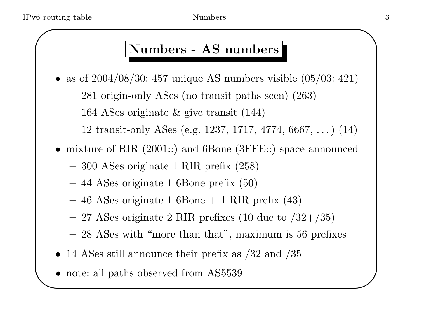#### Numbers - AS numbers

- as of  $2004/08/30$ : 457 unique AS numbers visible  $(05/03: 421)$ 
	- –<sup>281</sup> origin-only ASes (no transit paths seen) (263)
	- – $-$  164 ASes originate  $\&$  give transit (144)
	- – $-$  12 transit-only ASes (e.g. 1237, 1717, 4774, 6667,  $\dots$ ) (14)
- mixture of RIR (2001::) and 6Bone (3FFE::) space announced
	- <sup>300</sup> ASes originate <sup>1</sup> RIR prefix (258)
	- <sup>44</sup> ASes originate <sup>1</sup> 6Bone prefix (50)
	- – $-$  46 ASes originate 1 6Bone + 1 RIR prefix (43)
	- – $-$  27 ASes originate 2 RIR prefixes (10 due to  $/32+/35$ )
	- –28 ASes with "more than that", maximum is 56 prefixes
- 14 ASes still announce their prefix as  $/32$  and  $/35$
- $\setminus$ • note: all paths observed from AS5539

 $\bigwedge$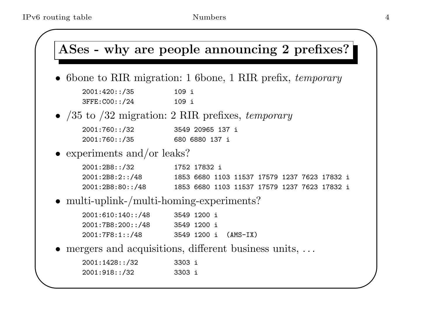#### $\sqrt{2}$  $\setminus$  $\sum_{i=1}^n$  $\bigcup$ ASes - why are people announcing 2 prefixes? • 6 bone to RIR migration: 1 6 bone, 1 RIR prefix, temporary 2001:420::/35 109 i 3FFE:C00::/24 109 i •  $/35$  to  $/32$  migration: 2 RIR prefixes, temporary 2001:760::/32 3549 20965 137 i 2001:760::/35 680 6880 137 i • experiments and/or leaks? 2001:2B8::/32 1752 17832 i 2001:2B8:2::/48 1853 6680 1103 11537 17579 1237 7623 17832 i 2001:2B8:80::/48 1853 6680 1103 11537 17579 1237 7623 17832 i • multi-uplink-/multi-homing-experiments? 2001:610:140::/48 3549 1200 i 2001:7B8:200::/48 3549 1200 i 2001:7F8:1::/48 3549 1200 i (AMS-IX) • mergers and acquisitions, different business units, ... 2001:1428::/32 3303 i 2001:918::/32 3303 i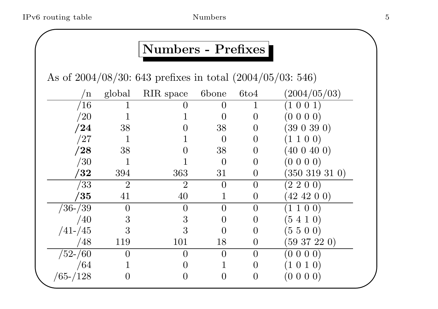### Numbers - Prefixes

As of 2004/08/30: <sup>643</sup> prefixes in total (2004/05/03: 546)

| 'n            | global         | RIR space      | 6bone            | 6t <sub>04</sub> | (2004/05/03)        |
|---------------|----------------|----------------|------------------|------------------|---------------------|
| $\sqrt{16}$   |                |                | ( )              |                  | (1 0 0 1)           |
| $\sqrt{20}$   |                |                | ()               | $\overline{0}$   | $(0\; 0\; 0\; 0)$   |
| $^{\prime}24$ | 38             |                | 38               | $\overline{0}$   | (390390)            |
| $^{\prime}27$ |                |                | $\left( \right)$ | $\overline{0}$   | (1 1 0 0)           |
| $^{\prime}28$ | 38             |                | 38               | $\left( \right)$ | (400400)            |
| /30           |                |                | $\overline{0}$   | $\overline{0}$   | $(0\;0\;0\;0)$      |
| $^{\prime}32$ | 394            | 363            | 31               | $\overline{0}$   | $(350\ 319\ 31\ 0)$ |
| $^{\prime}33$ | $\overline{2}$ | $\overline{2}$ | $\overline{0}$   | $\overline{0}$   | (2 2 0 0)           |
| $^{\prime}35$ | 41             | 40             |                  | $\overline{0}$   | $(42\;42\;0\;0)$    |
| $/36$ - $/39$ | $\overline{0}$ |                | 0                | $\overline{0}$   | 1 1 0 0)            |
| /40           | 3              | 3              | $\left( \right)$ | $\theta$         | $(5\;4\;1\;0)$      |
| $/41 - /45$   | 3              | 3              | $\Omega$         | $\theta$         | (5500)              |
| /48           | 119            | 101            | 18               | 0                | $(59\;37\;22\;0)$   |
| $/52$ - $/60$ | 0              |                | $\overline{0}$   | $\overline{0}$   | $(0\; 0\; 0\; 0)$   |
| /64           |                |                |                  | $\overline{0}$   | (1 0 1 0)           |
| $/65 - /128$  |                |                | 0                | $\overline{0}$   | (0 0 0 0)           |

 $\bigwedge$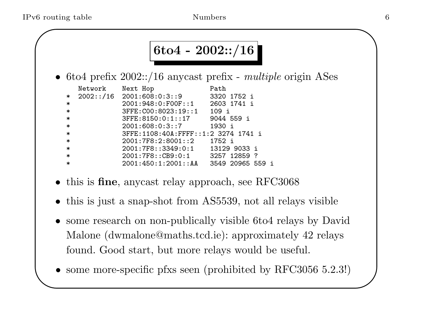#### 6to4 - 2002::/16

• 6to4 prefix  $2002::/16$  anycast prefix - *multiple* origin ASes

|        | Network | Next Hop                            | Path             |
|--------|---------|-------------------------------------|------------------|
|        |         | $*$ 2002::/16 2001:608:0:3::9       | 3320 1752 i      |
| $\ast$ |         | 2001:948:0:FOOF:1                   | 2603 1741 i      |
| $\ast$ |         | 3FFE:C00:8023:19::1 109 i           |                  |
| $\ast$ |         | $3$ FFE:8150:0:1::17                | 9044 559 i       |
| $\ast$ |         | 2001:608:0:3::7                     | 1930 i           |
| $\ast$ |         | 3FFE:1108:40A:FFFF::1:2 3274 1741 i |                  |
| $\ast$ |         | 2001:7F8:2:8001::2 1752 i           |                  |
| $\ast$ |         | 2001:7F8::3349:0:1 13129 9033 i     |                  |
| $\ast$ |         | 2001:7F8::CB9:0:1 3257 12859 ?      |                  |
| $\ast$ |         | 2001:450:1:2001::AA                 | 3549 20965 559 i |

- this is **fine**, any cast relay approach, see RFC3068
- this is just <sup>a</sup> snap-shot from AS5539, not all relays visible
- • some research on non-publically visible 6to4 relays by David Malone (dwmalone@maths.tcd.ie): approximately <sup>42</sup> relays found. Good start, but more relays would be useful.
- $\setminus$ • some more-specific pfxs seen (prohibited by RFC3056 5.2.3!)

 $\bigwedge$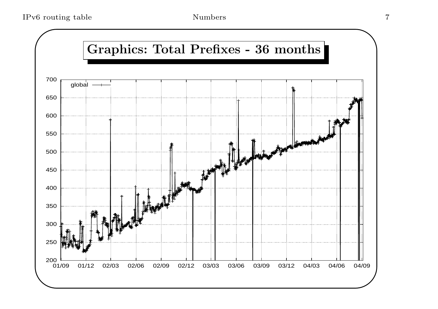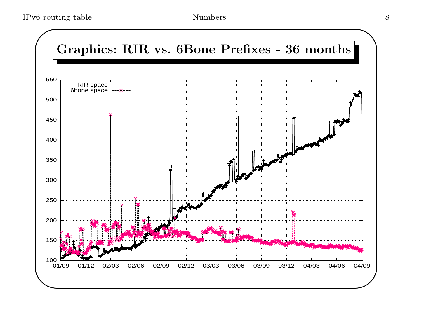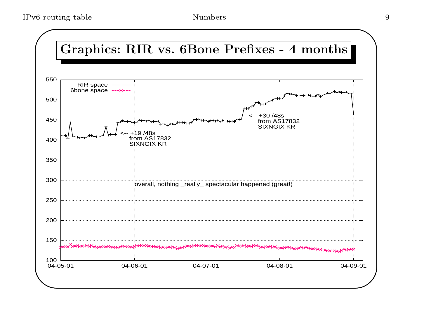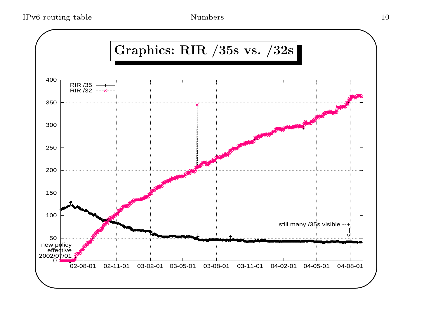$\rm IPv6\ routing\ table \rm\qquad \qquad 10$ 

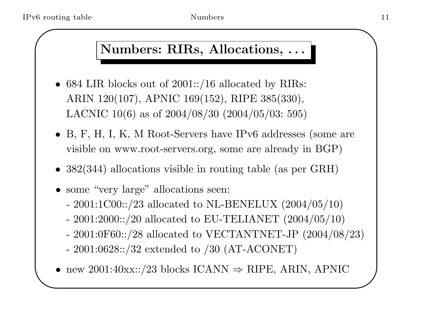### Numbers: RIRs, Allocations, . . .

- 684 LIR blocks out of 2001::/16 allocated by RIRs: ARIN 120(107), APNIC 169(152), RIPE 385(330), LACNIC 10(6) as of 2004/08/30 (2004/05/03: 595)
- B, F, H, I, K, <sup>M</sup> Root-Servers have IPv6 addresses (some are visible on www.root-servers.org, some are already in BGP)
- 382(344) allocations visible in routing table (as per GRH)
- some "very large" allocations seen:
	- 2001:1C00::/23 allocated to NL-BENELUX  $(2004/05/10)$
	- 2001:2000::/20 allocated to EU-TELIANET  $(2004/05/10)$
	- 2001:0F60::/28 allocated to VECTANTNET-JP  $(2004/08/23)$
	- 2001:0628::/32 extended to /30 (AT-ACONET)
- $\setminus$ • new 2001:40xx::/23 blocks ICANN  $\Rightarrow$  RIPE, ARIN, APNIC

 $\bigwedge$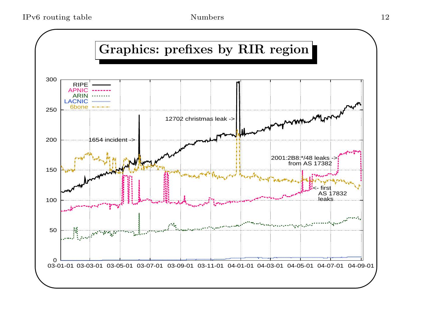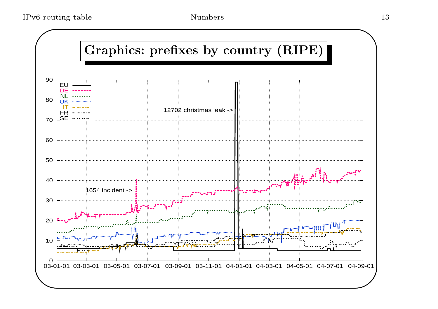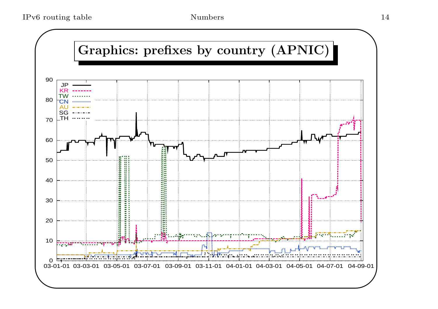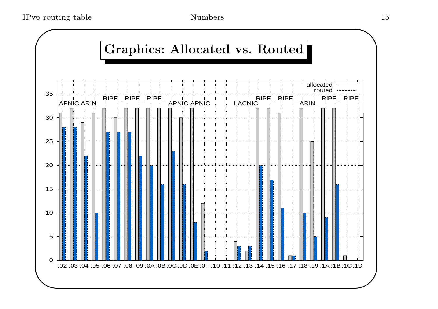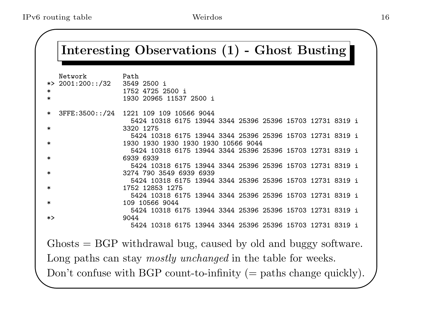| Network<br>*> $2001:200::/32$<br>∗<br>$\ast$ | Path<br>3549 2500 i<br>1752 4725 2500 i<br>1930 20965 11537 2500 i                                   |
|----------------------------------------------|------------------------------------------------------------------------------------------------------|
|                                              |                                                                                                      |
| $\ast$                                       | 3FFE: 3500::/24 1221 109 109 10566 9044<br>5424 10318 6175 13944 3344 25396 25396 15703 12731 8319 i |
| $\ast$                                       | 3320 1275                                                                                            |
|                                              | 5424 10318 6175 13944 3344 25396 25396 15703 12731 8319 i<br>1930 1930 1930 1930 1930 10566 9044     |
|                                              | 5424 10318 6175 13944 3344 25396 25396 15703 12731 8319 i                                            |
| ∗                                            | 6939 6939                                                                                            |
|                                              | 5424 10318 6175 13944 3344 25396 25396 15703 12731 8319 i                                            |
| $\ast$                                       | 3274 790 3549 6939 6939                                                                              |
|                                              | 5424 10318 6175 13944 3344 25396 25396 15703 12731 8319 i                                            |
| $\ast$                                       | 1752 12853 1275<br>5424 10318 6175 13944 3344 25396 25396 15703 12731 8319 i                         |
| $\ast$                                       | 109 10566 9044                                                                                       |
|                                              | 5424 10318 6175 13944 3344 25396 25396 15703 12731 8319 i                                            |
| *>                                           | 9044                                                                                                 |
|                                              | 5424 10318 6175 13944 3344 25396 25396 15703 12731 8319 i                                            |
|                                              |                                                                                                      |
|                                              | $\mu$ Ghosts $=$ BGP withdrawal bug, caused by old and buggy software.                               |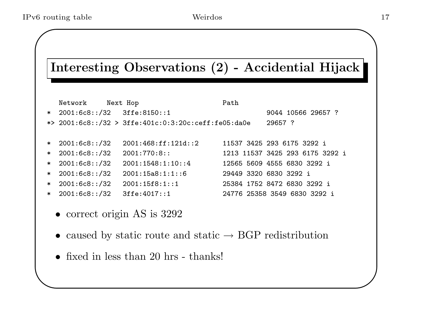$\setminus$ 

#### Interesting Observations (2) - Accidential Hijack

|        | Network                      | Next Hop                                              | Path                            |  |
|--------|------------------------------|-------------------------------------------------------|---------------------------------|--|
|        | * 2001:6c8::/32 3ffe:8150::1 |                                                       | 9044 10566 29657 ?              |  |
|        |                              | *> $2001:6c8::/32$ > 3ffe:401c:0:3:20c:ceff:fe05:da0e | 29657 ?                         |  |
|        |                              |                                                       |                                 |  |
| $\ast$ | 2001:6c8::/32                | 2001:468:ff:121d::2                                   | 11537 3425 293 6175 3292 i      |  |
| $\ast$ | 2001:6c8::/32                | $2001:770:8:$ :                                       | 1213 11537 3425 293 6175 3292 i |  |
| $\ast$ | 2001:6c8::/32                | 2001:1548:1:10:4                                      | 12565 5609 4555 6830 3292 i     |  |
| $\ast$ | 2001:6c8::/32                | 2001:15a8:1:1:6                                       | 29449 3320 6830 3292 i          |  |
| $\ast$ | 2001:6c8::/32                | 2001:15f8:1:1                                         | 25384 1752 8472 6830 3292 i     |  |
|        | $* 2001:6c8::/32$            | 3ffe:4017::1                                          | 24776 25358 3549 6830 3292 i    |  |
|        |                              |                                                       |                                 |  |

- correct origin AS is 3292
- caused by static route and static  $\rightarrow$  BGP redistribution
- fixed in less than 20 hrs thanks!

 $\bigwedge$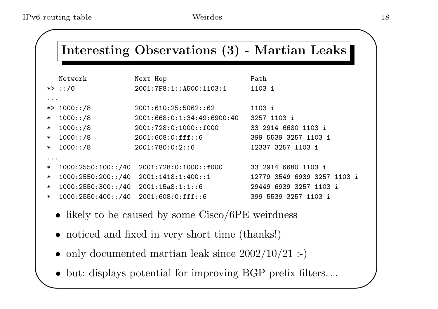$\bigwedge$ 

 $\bigcup$ 

#### Interesting Observations (3) - Martian Leaks

|                      | Network            | Next Hop                                  | Path                        |
|----------------------|--------------------|-------------------------------------------|-----------------------------|
|                      | *> ::/0            | 2001:7F8:1:1500:1103:1                    | 1103 i                      |
| $\ddot{\phantom{a}}$ |                    |                                           |                             |
|                      | *> $1000::/8$      | 2001:610:25:5062:62                       | 1103 i                      |
| $\ast$               | 1000::/8           | 2001:668:0:1:34:49:6900:40                | 3257 1103 i                 |
| $\ast$               | 1000::/8           | 2001:728:0:1000::f000                     | 33 2914 6680 1103 i         |
| $\ast$               | 1000::/8           | 2001:608:0:fft::6                         | 399 5539 3257 1103 i        |
| $\ast$               | 1000::/8           | 2001:780:0:2:6                            | 12337 3257 1103 i           |
| $\ddot{\phantom{a}}$ |                    |                                           |                             |
| $\ast$               | 1000:2550:100::/40 | 2001:728:0:1000::f000                     | 33 2914 6680 1103 i         |
| $\ast$               |                    | $1000:2550:200::/40$ $2001:1418:1:400::1$ | 12779 3549 6939 3257 1103 i |
| $\ast$               | 1000:2550:300::/40 | 2001:15a8:1:1:6                           | 29449 6939 3257 1103 i      |

- \*1000:2550:400::/40 2001:608:0:fff::6 399 5539 3257 1103 i
- - likely to be caused by some Cisco/6PE weirdness
	- noticed and fixed in very short time (thanks!)
	- only documented martian leak since  $2002/10/21$  :-)
- $\setminus$ • but: displays potential for improving BGP prefix filters...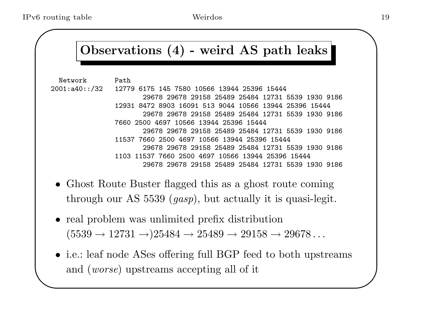#### Observations (4) - weird AS path leaks

Network Path

- 2001:a40::/32 12779 6175 145 7580 10566 13944 25396 15444 29678 29678 29158 25489 25484 12731 5539 1930 9186 12931 8472 8903 16091 513 9044 10566 13944 25396 15444 29678 29678 29158 25489 25484 12731 5539 1930 9186 7660 2500 4697 10566 13944 25396 15444 29678 29678 29158 25489 25484 12731 5539 1930 9186 11537 7660 2500 4697 10566 13944 25396 15444 29678 29678 29158 25489 25484 12731 5539 1930 9186 1103 11537 7660 2500 4697 10566 13944 25396 15444 29678 29678 29158 25489 25484 12731 5539 1930 9186
	- Ghost Route Buster flagged this as <sup>a</sup> ghost route coming through our AS <sup>5539</sup> (gasp), but actually it is quasi-legit.
	- real problem was unlimited prefix distribution  $(5539 \rightarrow 12731 \rightarrow) 25484 \rightarrow 25489 \rightarrow 29158 \rightarrow 29678 \dots$
- $\setminus$ • i.e.: leaf node ASes offering full BGP feed to both upstreams and (worse) upstreams accepting all of it

 $\bigwedge$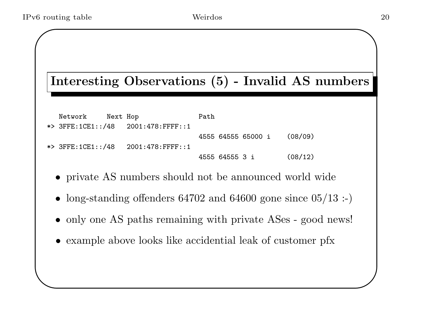$\setminus$ 

#### Interesting Observations (5) - Invalid AS numbers

| Network | Next Hop | Path |                |                    |         |
|---------|----------|------|----------------|--------------------|---------|
|         |          |      |                |                    |         |
|         |          |      |                | 4555 64555 65000 i | (08/09) |
|         |          |      |                |                    |         |
|         |          |      | 4555 64555 3 i |                    | (08/12) |

- private AS numbers should not be announced world wide
- •long-standing offenders <sup>64702</sup> and <sup>64600</sup> gone since 05/13 :-)
- only one AS paths remaining with private ASes good news!
- example above looks like accidential leak of customer pfx

 $\bigwedge$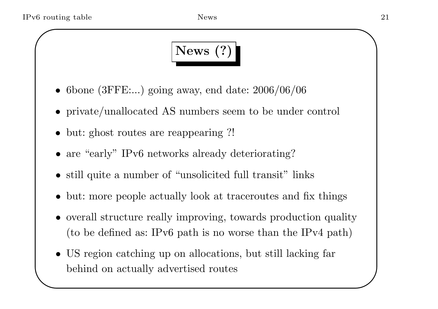# News (?)

- 6bone (3FFE:...) going away, end date: 2006/06/06
- private/unallocated AS numbers seem to be under control
- but: ghost routes are reappearing ?!
- are "early" IPv6 networks already deteriorating?
- still quite a number of "unsolicited full transit" links
- •but: more people actually look at traceroutes and fix things
- overall structure really improving, towards production quality (to be defined as: IPv6 path is no worse than the IPv4 path)
- $\setminus$ • US region catching up on allocations, but still lacking far behind on actually advertised routes

 $\bigwedge$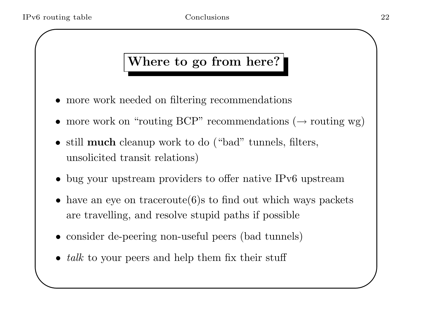$\setminus$ 

### Where to go from here?

- more work needed on filtering recommendations
- more work on "routing BCP" recommendations  $(\rightarrow$  routing wg)
- still **much** cleanup work to do ("bad" tunnels, filters, unsolicited transit relations)
- bug your upstream providers to offer native IPv6 upstream
- have an eye on traceroute $(6)$ s to find out which ways packets are travelling, and resolve stupid paths if possible
- consider de-peering non-useful peers (bad tunnels)
- $talk$  to your peers and help them fix their stuff

 $\bigwedge$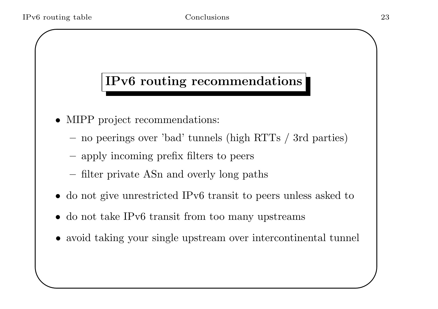$\setminus$ 

#### IPv6 routing recommendations

- MIPP project recommendations:
	- –no peerings over 'bad' tunnels (high RTTs / 3rd parties)
	- –apply incoming prefix filters to peers
	- filter private ASn and overly long paths
- do not give unrestricted IPv6 transit to peers unless asked to
- do not take IPv6 transit from too many upstreams
- avoid taking your single upstream over intercontinental tunnel

 $\bigwedge$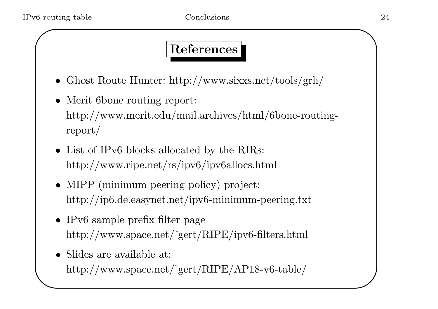#### References

- Ghost Route Hunter: http://www.sixxs.net/tools/grh/
- Merit 6bone routing report: http://www.merit.edu/mail.archives/html/6bone-routingreport/
- List of IPv6 blocks allocated by the RIRs: http://www.ripe.net/rs/ipv6/ipv6allocs.html
- MIPP (minimum peering policy) project: http://ip6.de.easynet.net/ipv6-minimum-peering.txt
- IPv6 sample prefix filter page http://www.space.net/˜gert/RIPE/ipv6-filters.html
- $\setminus$ • Slides are available at: http://www.space.net/˜gert/RIPE/AP18-v6-table/

 $\bigwedge$